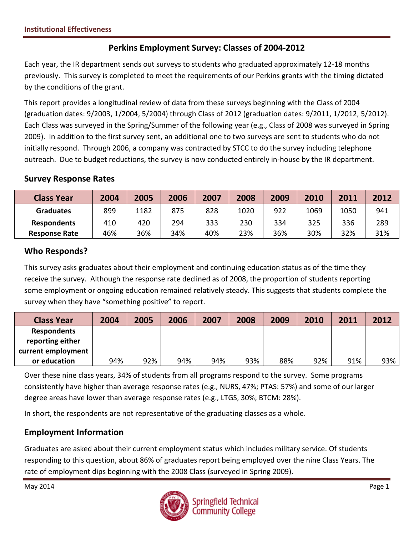## **Perkins Employment Survey: Classes of 2004-2012**

Each year, the IR department sends out surveys to students who graduated approximately 12-18 months previously. This survey is completed to meet the requirements of our Perkins grants with the timing dictated by the conditions of the grant.

This report provides a longitudinal review of data from these surveys beginning with the Class of 2004 (graduation dates: 9/2003, 1/2004, 5/2004) through Class of 2012 (graduation dates: 9/2011, 1/2012, 5/2012). Each Class was surveyed in the Spring/Summer of the following year (e.g., Class of 2008 was surveyed in Spring 2009). In addition to the first survey sent, an additional one to two surveys are sent to students who do not initially respond. Through 2006, a company was contracted by STCC to do the survey including telephone outreach. Due to budget reductions, the survey is now conducted entirely in-house by the IR department.

#### **Survey Response Rates**

| <b>Class Year</b>    | 2004 | 2005 | 2006 | 2007 | 2008 | 2009 | 2010 | 2011 | 2012 |
|----------------------|------|------|------|------|------|------|------|------|------|
| <b>Graduates</b>     | 899  | 1182 | 875  | 828  | 1020 | 922  | 1069 | 1050 | 941  |
| <b>Respondents</b>   | 410  | 420  | 294  | 333  | 230  | 334  | 325  | 336  | 289  |
| <b>Response Rate</b> | 46%  | 36%  | 34%  | 40%  | 23%  | 36%  | 30%  | 32%  | 31%  |

### **Who Responds?**

This survey asks graduates about their employment and continuing education status as of the time they receive the survey. Although the response rate declined as of 2008, the proportion of students reporting some employment or ongoing education remained relatively steady. This suggests that students complete the survey when they have "something positive" to report.

| <b>Class Year</b>  | 2004 | 2005 | 2006 | 2007 | 2008 | 2009 | 2010 | 2011 | 2012 |
|--------------------|------|------|------|------|------|------|------|------|------|
| <b>Respondents</b> |      |      |      |      |      |      |      |      |      |
| reporting either   |      |      |      |      |      |      |      |      |      |
| current employment |      |      |      |      |      |      |      |      |      |
| or education       | 94%  | 92%  | 94%  | 94%  | 93%  | 88%  | 92%  | 91%  | 93%  |

Over these nine class years, 34% of students from all programs respond to the survey. Some programs consistently have higher than average response rates (e.g., NURS, 47%; PTAS: 57%) and some of our larger degree areas have lower than average response rates (e.g., LTGS, 30%; BTCM: 28%).

In short, the respondents are not representative of the graduating classes as a whole.

# **Employment Information**

Graduates are asked about their current employment status which includes military service. Of students responding to this question, about 86% of graduates report being employed over the nine Class Years. The rate of employment dips beginning with the 2008 Class (surveyed in Spring 2009).